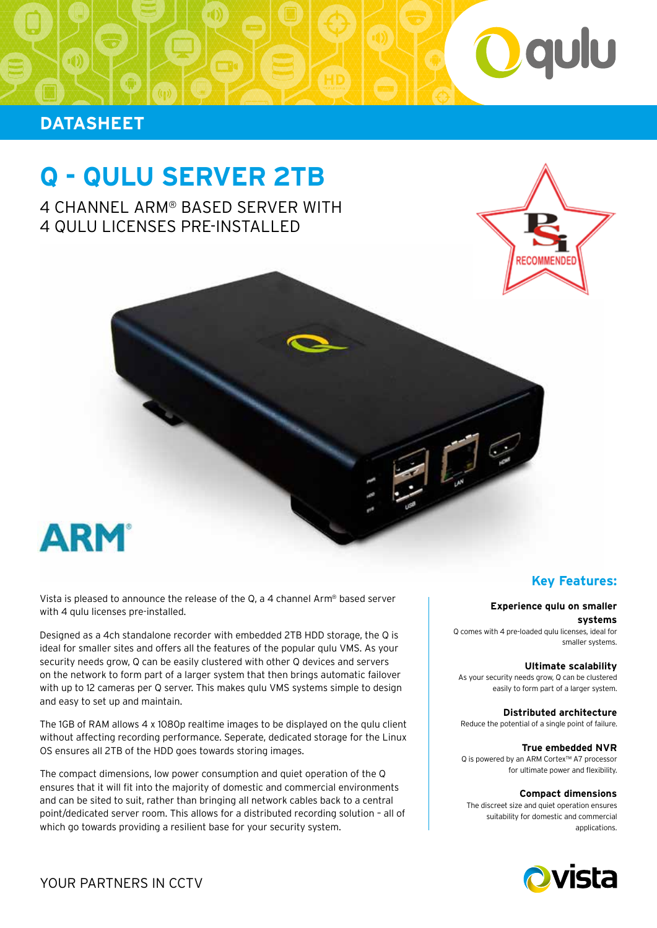

## **DATASHEET**

# **Q - QULU SERVER 2TB**

4 CHANNEL ARM® BASED SERVER WITH 4 QULU LICENSES PRE-INSTALLED



Vista is pleased to announce the release of the Q, a 4 channel Arm® based server with 4 qulu licenses pre-installed.

Designed as a 4ch standalone recorder with embedded 2TB HDD storage, the Q is ideal for smaller sites and offers all the features of the popular qulu VMS. As your security needs grow, Q can be easily clustered with other Q devices and servers on the network to form part of a larger system that then brings automatic failover with up to 12 cameras per Q server. This makes qulu VMS systems simple to design and easy to set up and maintain.

The 1GB of RAM allows 4 x 1080p realtime images to be displayed on the qulu client without affecting recording performance. Seperate, dedicated storage for the Linux OS ensures all 2TB of the HDD goes towards storing images.

The compact dimensions, low power consumption and quiet operation of the Q ensures that it will fit into the majority of domestic and commercial environments and can be sited to suit, rather than bringing all network cables back to a central point/dedicated server room. This allows for a distributed recording solution – all of which go towards providing a resilient base for your security system.

### **Key Features:**

#### **Experience qulu on smaller**

**systems** Q comes with 4 pre-loaded qulu licenses, ideal for smaller systems.

#### **Ultimate scalability**

As your security needs grow, Q can be clustered easily to form part of a larger system.

**Distributed architecture**  Reduce the potential of a single point of failure.

#### **True embedded NVR**

Q is powered by an ARM Cortex™ A7 processor for ultimate power and flexibility.

#### **Compact dimensions**

The discreet size and quiet operation ensures suitability for domestic and commercial applications.